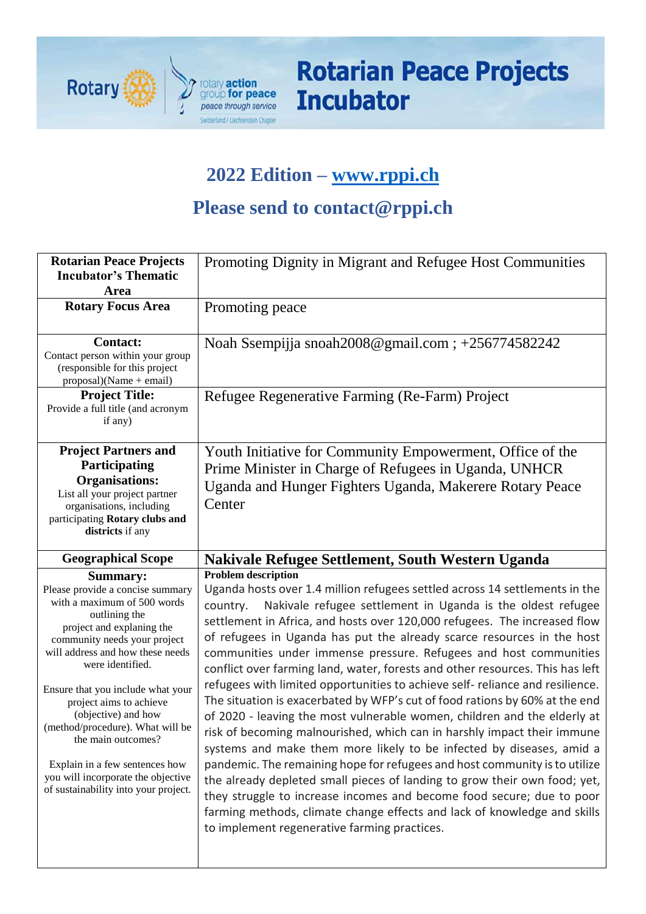

# **Rotarian Peace Projects Incubator**

## **2022 Edition – [www.rppi.ch](http://www.rppi.ch/)**

## **Please send to contact@rppi.ch**

| <b>Rotarian Peace Projects</b><br><b>Incubator's Thematic</b><br>Area                                                                                                                                                                                                                                                                                                                                                                                                                     | Promoting Dignity in Migrant and Refugee Host Communities                                                                                                                                                                                                                                                                                                                                                                                                                                                                                                                                                                                                                                                                                                                                                                                                                                                                                                                                                                                                                                                                                                                                                                                                        |
|-------------------------------------------------------------------------------------------------------------------------------------------------------------------------------------------------------------------------------------------------------------------------------------------------------------------------------------------------------------------------------------------------------------------------------------------------------------------------------------------|------------------------------------------------------------------------------------------------------------------------------------------------------------------------------------------------------------------------------------------------------------------------------------------------------------------------------------------------------------------------------------------------------------------------------------------------------------------------------------------------------------------------------------------------------------------------------------------------------------------------------------------------------------------------------------------------------------------------------------------------------------------------------------------------------------------------------------------------------------------------------------------------------------------------------------------------------------------------------------------------------------------------------------------------------------------------------------------------------------------------------------------------------------------------------------------------------------------------------------------------------------------|
| <b>Rotary Focus Area</b>                                                                                                                                                                                                                                                                                                                                                                                                                                                                  | Promoting peace                                                                                                                                                                                                                                                                                                                                                                                                                                                                                                                                                                                                                                                                                                                                                                                                                                                                                                                                                                                                                                                                                                                                                                                                                                                  |
| <b>Contact:</b><br>Contact person within your group<br>(responsible for this project<br>$proposal)(Name + email)$                                                                                                                                                                                                                                                                                                                                                                         | Noah Ssempijja snoah2008@gmail.com; +256774582242                                                                                                                                                                                                                                                                                                                                                                                                                                                                                                                                                                                                                                                                                                                                                                                                                                                                                                                                                                                                                                                                                                                                                                                                                |
| <b>Project Title:</b><br>Provide a full title (and acronym<br>if any)                                                                                                                                                                                                                                                                                                                                                                                                                     | Refugee Regenerative Farming (Re-Farm) Project                                                                                                                                                                                                                                                                                                                                                                                                                                                                                                                                                                                                                                                                                                                                                                                                                                                                                                                                                                                                                                                                                                                                                                                                                   |
| <b>Project Partners and</b><br>Participating<br><b>Organisations:</b><br>List all your project partner<br>organisations, including<br>participating Rotary clubs and<br>districts if any                                                                                                                                                                                                                                                                                                  | Youth Initiative for Community Empowerment, Office of the<br>Prime Minister in Charge of Refugees in Uganda, UNHCR<br>Uganda and Hunger Fighters Uganda, Makerere Rotary Peace<br>Center                                                                                                                                                                                                                                                                                                                                                                                                                                                                                                                                                                                                                                                                                                                                                                                                                                                                                                                                                                                                                                                                         |
| <b>Geographical Scope</b>                                                                                                                                                                                                                                                                                                                                                                                                                                                                 | Nakivale Refugee Settlement, South Western Uganda                                                                                                                                                                                                                                                                                                                                                                                                                                                                                                                                                                                                                                                                                                                                                                                                                                                                                                                                                                                                                                                                                                                                                                                                                |
| <b>Summary:</b><br>Please provide a concise summary<br>with a maximum of 500 words<br>outlining the<br>project and explaning the<br>community needs your project<br>will address and how these needs<br>were identified.<br>Ensure that you include what your<br>project aims to achieve<br>(objective) and how<br>(method/procedure). What will be<br>the main outcomes?<br>Explain in a few sentences how<br>you will incorporate the objective<br>of sustainability into your project. | <b>Problem description</b><br>Uganda hosts over 1.4 million refugees settled across 14 settlements in the<br>Nakivale refugee settlement in Uganda is the oldest refugee<br>country.<br>settlement in Africa, and hosts over 120,000 refugees. The increased flow<br>of refugees in Uganda has put the already scarce resources in the host<br>communities under immense pressure. Refugees and host communities<br>conflict over farming land, water, forests and other resources. This has left<br>refugees with limited opportunities to achieve self- reliance and resilience.<br>The situation is exacerbated by WFP's cut of food rations by 60% at the end<br>of 2020 - leaving the most vulnerable women, children and the elderly at<br>risk of becoming malnourished, which can in harshly impact their immune<br>systems and make them more likely to be infected by diseases, amid a<br>pandemic. The remaining hope for refugees and host community is to utilize<br>the already depleted small pieces of landing to grow their own food; yet,<br>they struggle to increase incomes and become food secure; due to poor<br>farming methods, climate change effects and lack of knowledge and skills<br>to implement regenerative farming practices. |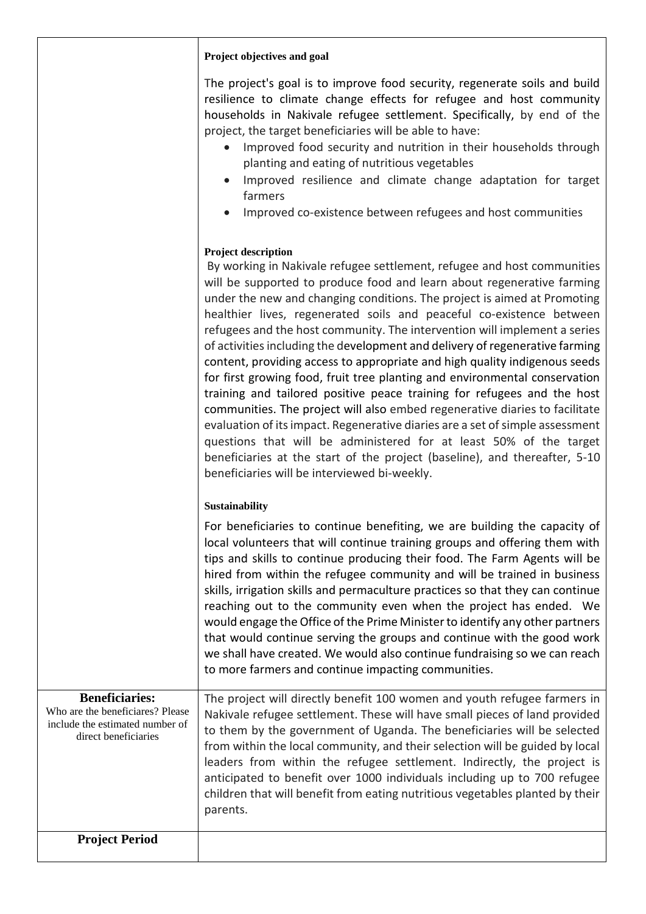#### **Project objectives and goal**

The project's goal is to improve food security, regenerate soils and build resilience to climate change effects for refugee and host community households in Nakivale refugee settlement. Specifically, by end of the project, the target beneficiaries will be able to have:

- Improved food security and nutrition in their households through planting and eating of nutritious vegetables
- Improved resilience and climate change adaptation for target farmers
- Improved co-existence between refugees and host communities

#### **Project description**

By working in Nakivale refugee settlement, refugee and host communities will be supported to produce food and learn about regenerative farming under the new and changing conditions. The project is aimed at Promoting healthier lives, regenerated soils and peaceful co-existence between refugees and the host community. The intervention will implement a series of activities including the development and delivery of regenerative farming content, providing access to appropriate and high quality indigenous seeds for first growing food, fruit tree planting and environmental conservation training and tailored positive peace training for refugees and the host communities. The project will also embed regenerative diaries to facilitate evaluation of its impact. Regenerative diaries are a set of simple assessment questions that will be administered for at least 50% of the target beneficiaries at the start of the project (baseline), and thereafter, 5-10 beneficiaries will be interviewed bi-weekly.

#### **Sustainability**

For beneficiaries to continue benefiting, we are building the capacity of local volunteers that will continue training groups and offering them with tips and skills to continue producing their food. The Farm Agents will be hired from within the refugee community and will be trained in business skills, irrigation skills and permaculture practices so that they can continue reaching out to the community even when the project has ended. We would engage the Office of the Prime Minister to identify any other partners that would continue serving the groups and continue with the good work we shall have created. We would also continue fundraising so we can reach to more farmers and continue impacting communities.

| <b>Beneficiaries:</b><br>Who are the beneficiares? Please<br>include the estimated number of<br>direct beneficiaries | The project will directly benefit 100 women and youth refugee farmers in<br>Nakivale refugee settlement. These will have small pieces of land provided<br>to them by the government of Uganda. The beneficiaries will be selected<br>from within the local community, and their selection will be guided by local<br>leaders from within the refugee settlement. Indirectly, the project is<br>anticipated to benefit over 1000 individuals including up to 700 refugee<br>children that will benefit from eating nutritious vegetables planted by their<br>parents. |
|----------------------------------------------------------------------------------------------------------------------|----------------------------------------------------------------------------------------------------------------------------------------------------------------------------------------------------------------------------------------------------------------------------------------------------------------------------------------------------------------------------------------------------------------------------------------------------------------------------------------------------------------------------------------------------------------------|
| <b>Project Period</b>                                                                                                |                                                                                                                                                                                                                                                                                                                                                                                                                                                                                                                                                                      |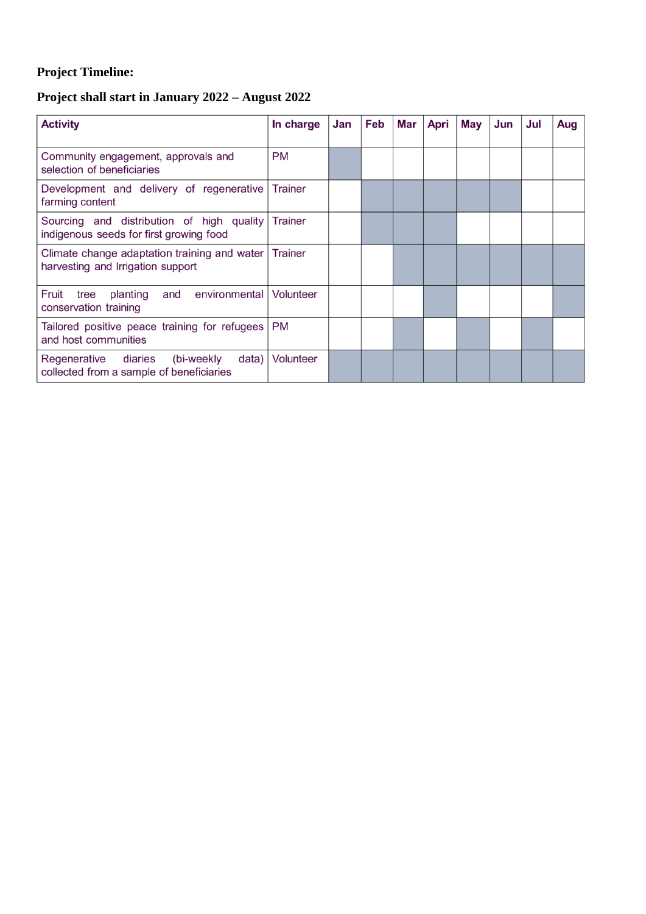## **Project Timeline:**

### **Project shall start in January 2022 – August 2022**

| <b>Activity</b>                                                                         | In charge      | Jan | Feb | Mar | Apri | May | Jun | Jul | Aug |
|-----------------------------------------------------------------------------------------|----------------|-----|-----|-----|------|-----|-----|-----|-----|
| Community engagement, approvals and<br>selection of beneficiaries                       | <b>PM</b>      |     |     |     |      |     |     |     |     |
| Development and delivery of regenerative<br>farming content                             | Trainer        |     |     |     |      |     |     |     |     |
| Sourcing and distribution of high quality<br>indigenous seeds for first growing food    | <b>Trainer</b> |     |     |     |      |     |     |     |     |
| Climate change adaptation training and water<br>harvesting and Irrigation support       | Trainer        |     |     |     |      |     |     |     |     |
| Fruit<br>environmental<br>planting<br>and<br>tree<br>conservation training              | Volunteer      |     |     |     |      |     |     |     |     |
| Tailored positive peace training for refugees<br>and host communities                   | <b>PM</b>      |     |     |     |      |     |     |     |     |
| Regenerative diaries<br>(bi-weekly<br>data)<br>collected from a sample of beneficiaries | Volunteer      |     |     |     |      |     |     |     |     |